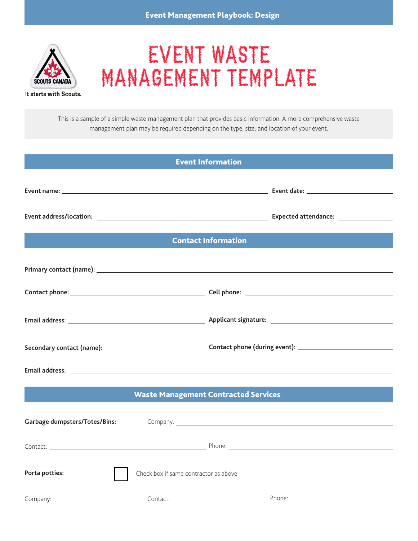

# EVENT WASTE MANAGEMENT TEMPLATE

It starts with Scouts.

This is a sample of a simple waste management plan that provides basic information. A more comprehensive waste management plan may be required depending on the type, size, and location of your event.

| <b>Event Information</b>                                                                                                                                                                                                           |                                       |  |                                                                                                                                                                                                                                |  |  |
|------------------------------------------------------------------------------------------------------------------------------------------------------------------------------------------------------------------------------------|---------------------------------------|--|--------------------------------------------------------------------------------------------------------------------------------------------------------------------------------------------------------------------------------|--|--|
|                                                                                                                                                                                                                                    |                                       |  |                                                                                                                                                                                                                                |  |  |
|                                                                                                                                                                                                                                    |                                       |  | Expected attendance: Network and the set of the set of the set of the set of the set of the set of the set of the set of the set of the set of the set of the set of the set of the set of the set of the set of the set of th |  |  |
| <b>Contact Information</b>                                                                                                                                                                                                         |                                       |  |                                                                                                                                                                                                                                |  |  |
|                                                                                                                                                                                                                                    |                                       |  |                                                                                                                                                                                                                                |  |  |
|                                                                                                                                                                                                                                    |                                       |  |                                                                                                                                                                                                                                |  |  |
|                                                                                                                                                                                                                                    |                                       |  |                                                                                                                                                                                                                                |  |  |
|                                                                                                                                                                                                                                    |                                       |  |                                                                                                                                                                                                                                |  |  |
| Email address: <u>Email address:</u> Email and Email and Email and Email and Email and Email and Email and Email and Email and Email and Email and Email and Email and Email and Email and Email and Email and Email and Email and |                                       |  |                                                                                                                                                                                                                                |  |  |
| <b>Waste Management Contracted Services</b>                                                                                                                                                                                        |                                       |  |                                                                                                                                                                                                                                |  |  |
| <b>Garbage dumpsters/Totes/Bins:</b>                                                                                                                                                                                               |                                       |  |                                                                                                                                                                                                                                |  |  |
|                                                                                                                                                                                                                                    |                                       |  |                                                                                                                                                                                                                                |  |  |
| Porta potties:                                                                                                                                                                                                                     | Check box if same contractor as above |  |                                                                                                                                                                                                                                |  |  |
|                                                                                                                                                                                                                                    |                                       |  |                                                                                                                                                                                                                                |  |  |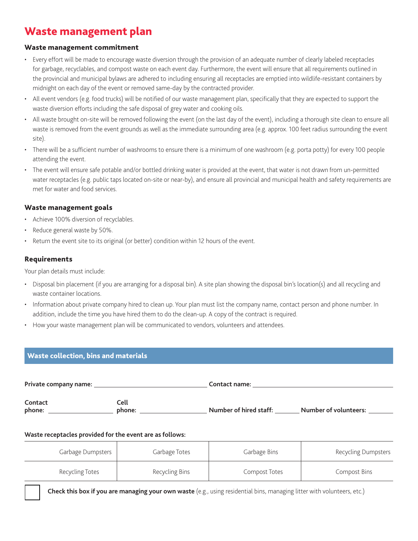## Waste management plan

#### Waste management commitment

- Every effort will be made to encourage waste diversion through the provision of an adequate number of clearly labeled receptacles for garbage, recyclables, and compost waste on each event day. Furthermore, the event will ensure that all requirements outlined in the provincial and municipal bylaws are adhered to including ensuring all receptacles are emptied into wildlife-resistant containers by midnight on each day of the event or removed same-day by the contracted provider.
- All event vendors (e.g. food trucks) will be notified of our waste management plan, specifically that they are expected to support the waste diversion efforts including the safe disposal of grey water and cooking oils.
- All waste brought on-site will be removed following the event (on the last day of the event), including a thorough site clean to ensure all waste is removed from the event grounds as well as the immediate surrounding area (e.g. approx. 100 feet radius surrounding the event site).
- There will be a sufficient number of washrooms to ensure there is a minimum of one washroom (e.g. porta potty) for every 100 people attending the event.
- The event will ensure safe potable and/or bottled drinking water is provided at the event, that water is not drawn from un-permitted water receptacles (e.g. public taps located on-site or near-by), and ensure all provincial and municipal health and safety requirements are met for water and food services.

#### Waste management goals

- Achieve 100% diversion of recyclables.
- Reduce general waste by 50%.
- Return the event site to its original (or better) condition within 12 hours of the event.

#### Requirements

Your plan details must include:

- Disposal bin placement (if you are arranging for a disposal bin). A site plan showing the disposal bin's location(s) and all recycling and waste container locations.
- Information about private company hired to clean up. Your plan must list the company name, contact person and phone number. In addition, include the time you have hired them to do the clean-up. A copy of the contract is required.
- How your waste management plan will be communicated to vendors, volunteers and attendees.

### Waste collection, bins and materials

**Private company name: Contact name: Contact name: Contact name: Contact name: Contact phone: Cell phone: Number of hired staff: Number of volunteers:**

#### **Waste receptacles provided for the event are as follows:**

| Garbage Dumpsters | Garbage Totes  | Garbage Bins  | <b>Recycling Dumpsters</b> |
|-------------------|----------------|---------------|----------------------------|
| Recycling Totes   | Recycling Bins | Compost Totes | Compost Bins               |

¨ **Check this box if you are managing your own waste** (e.g., using residential bins, managing litter with volunteers, etc.)